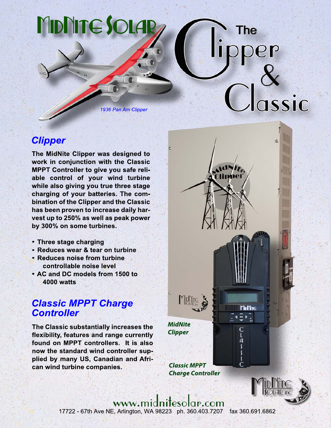# MidNite Sola

1936 Pan Am Clipper

## **Clipper**

The MidNite Clipper was designed to work in conjunction with the Classic MPPT Controller to give you safe reliable control of your wind turbine while also giving you true three stage charging of your batteries. The combination of the Clipper and the Classic has been proven to increase daily harvest up to 250% as well as peak power by 300% on some turbines.

- Three stage charging
- Reduces wear & tear on turbine
- Reduces noise from turbine controllable noise level
- AC and DC models from 1500 to **4000 watts**

### **Classic MPPT Charge Controller**

The Classic substantially increases the flexibility, features and range currently found on MPPT controllers. It is also now the standard wind controller supplied by many US, Canadian and African wind turbine companies.

**MidNite Clipper** 

**Classic MPPT Charge Controller** 

**MIDLITE** 



**Mindline** 

۹

The

assic

www.midnitesolar.com 17722 - 67th Ave NE, Arlington, WA 98223 ph. 360.403.7207 fax 360.691.6862